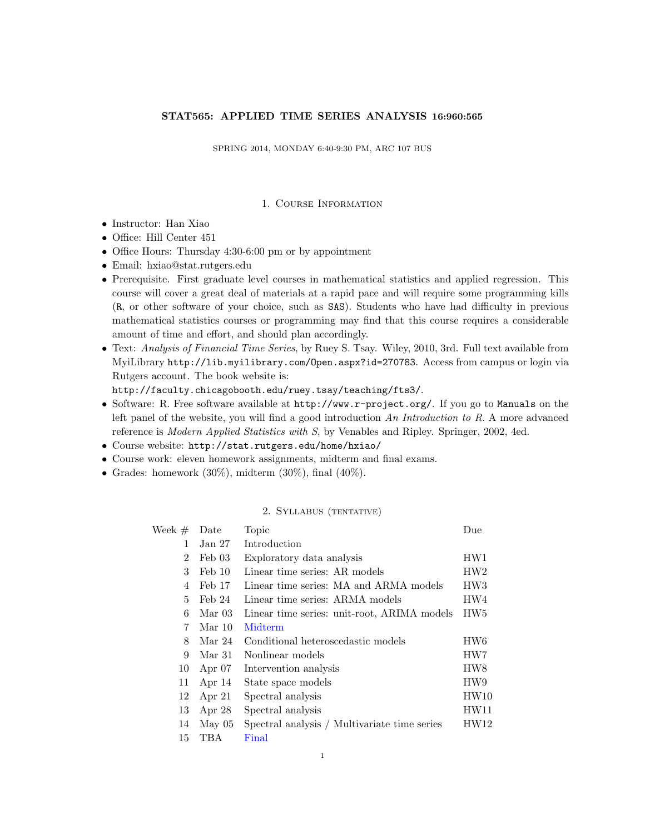## STAT565: APPLIED TIME SERIES ANALYSIS 16:960:565

SPRING 2014, MONDAY 6:40-9:30 PM, ARC 107 BUS

## 1. Course Information

- Instructor: Han Xiao
- Office: Hill Center 451
- Office Hours: Thursday 4:30-6:00 pm or by appointment
- Email: hxiao@stat.rutgers.edu
- Prerequisite. First graduate level courses in mathematical statistics and applied regression. This course will cover a great deal of materials at a rapid pace and will require some programming kills (R, or other software of your choice, such as SAS). Students who have had difficulty in previous mathematical statistics courses or programming may find that this course requires a considerable amount of time and effort, and should plan accordingly.
- Text: Analysis of Financial Time Series, by Ruey S. Tsay. Wiley, 2010, 3rd. Full text available from MyiLibrary http://lib.myilibrary.com/Open.aspx?id=270783. Access from campus or login via Rutgers account. The book website is:

http://faculty.chicagobooth.edu/ruey.tsay/teaching/fts3/.

- Software: R. Free software available at http://www.r-project.org/. If you go to Manuals on the left panel of the website, you will find a good introduction An Introduction to R. A more advanced reference is Modern Applied Statistics with S, by Venables and Ripley. Springer, 2002, 4ed.
- Course website: http://stat.rutgers.edu/home/hxiao/
- Course work: eleven homework assignments, midterm and final exams.
- Grades: homework  $(30\%)$ , midterm  $(30\%)$ , final  $(40\%)$ .

## 2. Syllabus (tentative)

| Week $#$ | Date              | Topic                                        | Due             |
|----------|-------------------|----------------------------------------------|-----------------|
| 1        | Jan 27            | Introduction                                 |                 |
| 2        | Feb 03            | Exploratory data analysis                    | HW1             |
| 3        | $\text{Feb } 10$  | Linear time series: AR models                | HW2             |
| 4        | Feb 17            | Linear time series: MA and ARMA models       | HW <sub>3</sub> |
| 5        | Feb 24            | Linear time series: ARMA models              | HW4             |
| 6        | Mar <sub>03</sub> | Linear time series: unit-root, ARIMA models  | HW <sub>5</sub> |
| 7        | Mar 10            | Midterm                                      |                 |
| 8        | Mar 24            | Conditional heteroscedastic models           | HW6             |
| 9        | Mar 31            | Nonlinear models                             | HW7             |
| 10       | Apr $07$          | Intervention analysis                        | HW <sub>8</sub> |
| 11       | Apr $14$          | State space models                           | HW9             |
| 12       | Apr $21$          | Spectral analysis                            | HW10            |
| 13       | Apr $28$          | Spectral analysis                            | HW11            |
| 14       | May 05            | Spectral analysis / Multivariate time series | HW12            |
| 15       | TBA               | Final                                        |                 |